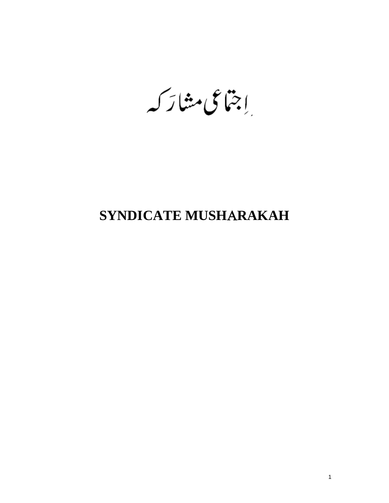إجتماعي مشاركيه

# **SYNDICATE MUSH**Α**RAKAH**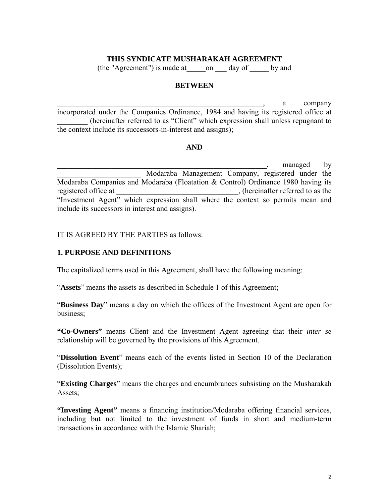#### **THIS SYNDICATE MUSHARAKAH AGREEMENT**

(the "Agreement") is made at\_\_\_\_\_on \_\_\_ day of \_\_\_\_\_ by and

#### **BETWEEN**

 $a$  company incorporated under the Companies Ordinance, 1984 and having its registered office at \_\_\_\_\_\_\_\_ (hereinafter referred to as "Client" which expression shall unless repugnant to the context include its successors-in-interest and assigns);

#### **AND**

 $\Box$ , managed by \_\_\_\_\_\_\_\_\_\_\_\_\_\_\_\_\_\_\_\_\_\_ Modaraba Management Company, registered under the Modaraba Companies and Modaraba (Floatation & Control) Ordinance 1980 having its registered office at \_\_\_\_\_\_\_\_\_\_\_\_\_\_\_\_\_\_\_\_\_\_\_\_\_\_\_\_\_\_\_, (hereinafter referred to as the "Investment Agent" which expression shall where the context so permits mean and include its successors in interest and assigns).

IT IS AGREED BY THE PARTIES as follows:

## **1. PURPOSE AND DEFINITIONS**

The capitalized terms used in this Agreement, shall have the following meaning:

"**Assets**" means the assets as described in Schedule 1 of this Agreement;

"**Business Day**" means a day on which the offices of the Investment Agent are open for business;

**"Co-Owners"** means Client and the Investment Agent agreeing that their *inter se* relationship will be governed by the provisions of this Agreement.

"**Dissolution Event**" means each of the events listed in Section 10 of the Declaration (Dissolution Events);

"**Existing Charges**" means the charges and encumbrances subsisting on the Musharakah Assets;

**"Investing Agent"** means a financing institution/Modaraba offering financial services, including but not limited to the investment of funds in short and medium-term transactions in accordance with the Islamic Shariah;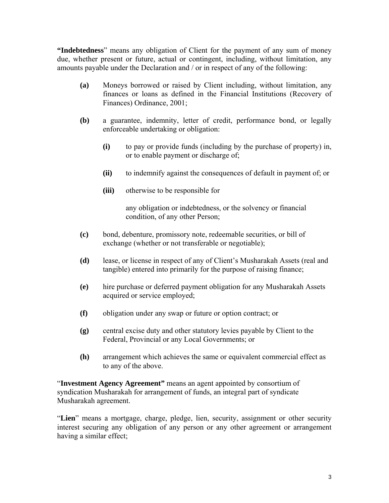**"Indebtedness**" means any obligation of Client for the payment of any sum of money due, whether present or future, actual or contingent, including, without limitation, any amounts payable under the Declaration and / or in respect of any of the following:

- **(a)** Moneys borrowed or raised by Client including, without limitation, any finances or loans as defined in the Financial Institutions (Recovery of Finances) Ordinance, 2001;
- **(b)** a guarantee, indemnity, letter of credit, performance bond, or legally enforceable undertaking or obligation:
	- **(i)** to pay or provide funds (including by the purchase of property) in, or to enable payment or discharge of;
	- **(ii)** to indemnify against the consequences of default in payment of; or
	- **(iii)** otherwise to be responsible for

any obligation or indebtedness, or the solvency or financial condition, of any other Person;

- **(c)** bond, debenture, promissory note, redeemable securities, or bill of exchange (whether or not transferable or negotiable);
- **(d)** lease, or license in respect of any of Client's Musharakah Assets (real and tangible) entered into primarily for the purpose of raising finance;
- **(e)** hire purchase or deferred payment obligation for any Musharakah Assets acquired or service employed;
- **(f)** obligation under any swap or future or option contract; or
- **(g)** central excise duty and other statutory levies payable by Client to the Federal, Provincial or any Local Governments; or
- **(h)** arrangement which achieves the same or equivalent commercial effect as to any of the above.

"**Investment Agency Agreement"** means an agent appointed by consortium of syndication Musharakah for arrangement of funds, an integral part of syndicate Musharakah agreement.

"**Lien**" means a mortgage, charge, pledge, lien, security, assignment or other security interest securing any obligation of any person or any other agreement or arrangement having a similar effect;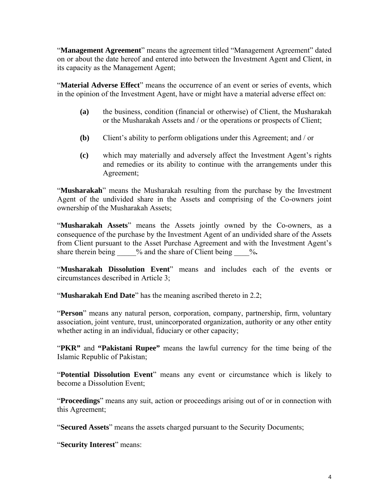"**Management Agreement**" means the agreement titled "Management Agreement" dated on or about the date hereof and entered into between the Investment Agent and Client, in its capacity as the Management Agent;

"**Material Adverse Effect**" means the occurrence of an event or series of events, which in the opinion of the Investment Agent, have or might have a material adverse effect on:

- **(a)** the business, condition (financial or otherwise) of Client, the Musharakah or the Musharakah Assets and / or the operations or prospects of Client;
- **(b)** Client's ability to perform obligations under this Agreement; and / or
- **(c)** which may materially and adversely affect the Investment Agent's rights and remedies or its ability to continue with the arrangements under this Agreement;

"**Musharakah**" means the Musharakah resulting from the purchase by the Investment Agent of the undivided share in the Assets and comprising of the Co-owners joint ownership of the Musharakah Assets;

"**Musharakah Assets**" means the Assets jointly owned by the Co-owners, as a consequence of the purchase by the Investment Agent of an undivided share of the Assets from Client pursuant to the Asset Purchase Agreement and with the Investment Agent's share therein being  $\%$  and the share of Client being  $\%$ .

"**Musharakah Dissolution Event**" means and includes each of the events or circumstances described in Article 3;

"**Musharakah End Date**" has the meaning ascribed thereto in 2.2;

"**Person**" means any natural person, corporation, company, partnership, firm, voluntary association, joint venture, trust, unincorporated organization, authority or any other entity whether acting in an individual, fiduciary or other capacity;

"**PKR"** and **"Pakistani Rupee"** means the lawful currency for the time being of the Islamic Republic of Pakistan;

"**Potential Dissolution Event**" means any event or circumstance which is likely to become a Dissolution Event;

"**Proceedings**" means any suit, action or proceedings arising out of or in connection with this Agreement;

"**Secured Assets**" means the assets charged pursuant to the Security Documents;

"**Security Interest**" means: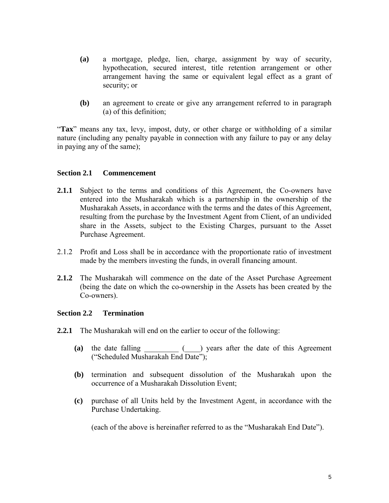- **(a)** a mortgage, pledge, lien, charge, assignment by way of security, hypothecation, secured interest, title retention arrangement or other arrangement having the same or equivalent legal effect as a grant of security; or
- **(b)** an agreement to create or give any arrangement referred to in paragraph (a) of this definition;

"**Tax**" means any tax, levy, impost, duty, or other charge or withholding of a similar nature (including any penalty payable in connection with any failure to pay or any delay in paying any of the same);

## **Section 2.1 Commencement**

- **2.1.1** Subject to the terms and conditions of this Agreement, the Co-owners have entered into the Musharakah which is a partnership in the ownership of the Musharakah Assets, in accordance with the terms and the dates of this Agreement, resulting from the purchase by the Investment Agent from Client, of an undivided share in the Assets, subject to the Existing Charges, pursuant to the Asset Purchase Agreement.
- 2.1.2 Profit and Loss shall be in accordance with the proportionate ratio of investment made by the members investing the funds, in overall financing amount.
- **2.1.2** The Musharakah will commence on the date of the Asset Purchase Agreement (being the date on which the co-ownership in the Assets has been created by the Co-owners).

# **Section 2.2 Termination**

- **2.2.1** The Musharakah will end on the earlier to occur of the following:
	- **(a)** the date falling \_\_\_\_\_\_\_\_\_ (\_\_\_\_) years after the date of this Agreement ("Scheduled Musharakah End Date");
	- **(b)** termination and subsequent dissolution of the Musharakah upon the occurrence of a Musharakah Dissolution Event;
	- **(c)** purchase of all Units held by the Investment Agent, in accordance with the Purchase Undertaking.

(each of the above is hereinafter referred to as the "Musharakah End Date").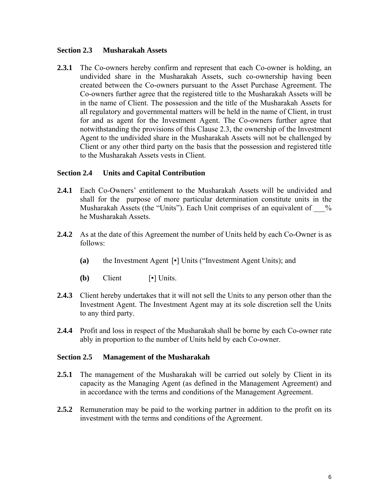#### **Section 2.3 Musharakah Assets**

**2.3.1** The Co-owners hereby confirm and represent that each Co-owner is holding, an undivided share in the Musharakah Assets, such co-ownership having been created between the Co-owners pursuant to the Asset Purchase Agreement. The Co-owners further agree that the registered title to the Musharakah Assets will be in the name of Client. The possession and the title of the Musharakah Assets for all regulatory and governmental matters will be held in the name of Client, in trust for and as agent for the Investment Agent. The Co-owners further agree that notwithstanding the provisions of this Clause 2.3, the ownership of the Investment Agent to the undivided share in the Musharakah Assets will not be challenged by Client or any other third party on the basis that the possession and registered title to the Musharakah Assets vests in Client.

## **Section 2.4 Units and Capital Contribution**

- **2.4.1** Each Co-Owners' entitlement to the Musharakah Assets will be undivided and shall for the purpose of more particular determination constitute units in the Musharakah Assets (the "Units"). Each Unit comprises of an equivalent of  $\%$ he Musharakah Assets.
- **2.4.2** As at the date of this Agreement the number of Units held by each Co-Owner is as follows:
	- **(a)** the Investment Agent [▪] Units ("Investment Agent Units); and
	- **(b)** Client [▪] Units.
- **2.4.3** Client hereby undertakes that it will not sell the Units to any person other than the Investment Agent. The Investment Agent may at its sole discretion sell the Units to any third party.
- **2.4.4** Profit and loss in respect of the Musharakah shall be borne by each Co-owner rate ably in proportion to the number of Units held by each Co-owner.

## **Section 2.5 Management of the Musharakah**

- **2.5.1** The management of the Musharakah will be carried out solely by Client in its capacity as the Managing Agent (as defined in the Management Agreement) and in accordance with the terms and conditions of the Management Agreement.
- **2.5.2** Remuneration may be paid to the working partner in addition to the profit on its investment with the terms and conditions of the Agreement.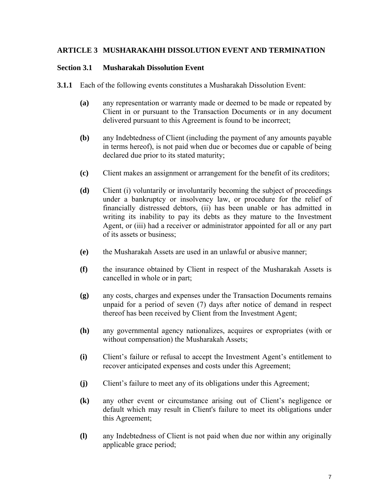## **ARTICLE 3 MUSHARAKAHH DISSOLUTION EVENT AND TERMINATION**

#### **Section 3.1 Musharakah Dissolution Event**

- **3.1.1** Each of the following events constitutes a Musharakah Dissolution Event:
	- **(a)** any representation or warranty made or deemed to be made or repeated by Client in or pursuant to the Transaction Documents or in any document delivered pursuant to this Agreement is found to be incorrect;
	- **(b)** any Indebtedness of Client (including the payment of any amounts payable in terms hereof), is not paid when due or becomes due or capable of being declared due prior to its stated maturity;
	- **(c)** Client makes an assignment or arrangement for the benefit of its creditors;
	- **(d)** Client (i) voluntarily or involuntarily becoming the subject of proceedings under a bankruptcy or insolvency law, or procedure for the relief of financially distressed debtors, (ii) has been unable or has admitted in writing its inability to pay its debts as they mature to the Investment Agent, or (iii) had a receiver or administrator appointed for all or any part of its assets or business;
	- **(e)** the Musharakah Assets are used in an unlawful or abusive manner;
	- **(f)** the insurance obtained by Client in respect of the Musharakah Assets is cancelled in whole or in part;
	- **(g)** any costs, charges and expenses under the Transaction Documents remains unpaid for a period of seven (7) days after notice of demand in respect thereof has been received by Client from the Investment Agent;
	- **(h)** any governmental agency nationalizes, acquires or expropriates (with or without compensation) the Musharakah Assets;
	- **(i)** Client's failure or refusal to accept the Investment Agent's entitlement to recover anticipated expenses and costs under this Agreement;
	- **(j)** Client's failure to meet any of its obligations under this Agreement;
	- **(k)** any other event or circumstance arising out of Client's negligence or default which may result in Client's failure to meet its obligations under this Agreement;
	- **(l)** any Indebtedness of Client is not paid when due nor within any originally applicable grace period;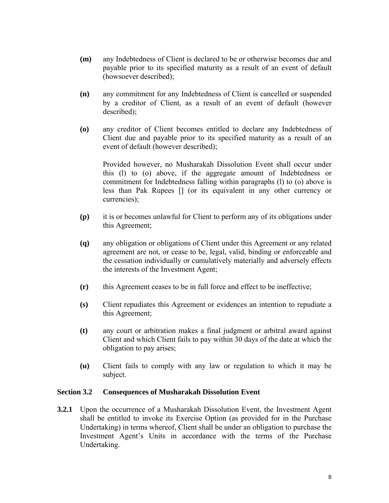- **(m)** any Indebtedness of Client is declared to be or otherwise becomes due and payable prior to its specified maturity as a result of an event of default (howsoever described);
- **(n)** any commitment for any Indebtedness of Client is cancelled or suspended by a creditor of Client, as a result of an event of default (however described);
- **(o)** any creditor of Client becomes entitled to declare any Indebtedness of Client due and payable prior to its specified maturity as a result of an event of default (however described);

Provided however, no Musharakah Dissolution Event shall occur under this (l) to (o) above, if the aggregate amount of Indebtedness or commitment for Indebtedness falling within paragraphs (l) to (o) above is less than Pak Rupees [] (or its equivalent in any other currency or currencies);

- **(p)** it is or becomes unlawful for Client to perform any of its obligations under this Agreement;
- **(q)** any obligation or obligations of Client under this Agreement or any related agreement are not, or cease to be, legal, valid, binding or enforceable and the cessation individually or cumulatively materially and adversely effects the interests of the Investment Agent;
- **(r)** this Agreement ceases to be in full force and effect to be ineffective;
- **(s)** Client repudiates this Agreement or evidences an intention to repudiate a this Agreement;
- **(t)** any court or arbitration makes a final judgment or arbitral award against Client and which Client fails to pay within 30 days of the date at which the obligation to pay arises;
- **(u)** Client fails to comply with any law or regulation to which it may be subject.

## **Section 3.2 Consequences of Musharakah Dissolution Event**

**3.2.1** Upon the occurrence of a Musharakah Dissolution Event, the Investment Agent shall be entitled to invoke its Exercise Option (as provided for in the Purchase Undertaking) in terms whereof, Client shall be under an obligation to purchase the Investment Agent's Units in accordance with the terms of the Purchase Undertaking.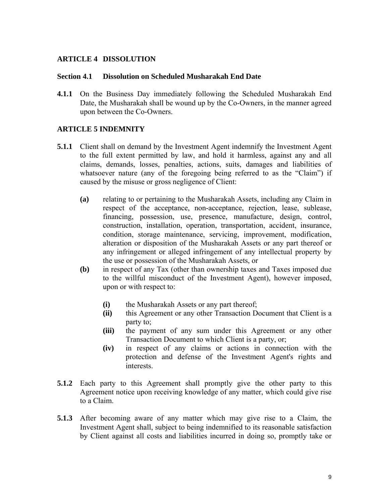## **ARTICLE 4 DISSOLUTION**

#### **Section 4.1 Dissolution on Scheduled Musharakah End Date**

**4.1.1** On the Business Day immediately following the Scheduled Musharakah End Date, the Musharakah shall be wound up by the Co-Owners, in the manner agreed upon between the Co-Owners.

## **ARTICLE 5 INDEMNITY**

- **5.1.1** Client shall on demand by the Investment Agent indemnify the Investment Agent to the full extent permitted by law, and hold it harmless, against any and all claims, demands, losses, penalties, actions, suits, damages and liabilities of whatsoever nature (any of the foregoing being referred to as the "Claim") if caused by the misuse or gross negligence of Client:
	- **(a)** relating to or pertaining to the Musharakah Assets, including any Claim in respect of the acceptance, non-acceptance, rejection, lease, sublease, financing, possession, use, presence, manufacture, design, control, construction, installation, operation, transportation, accident, insurance, condition, storage maintenance, servicing, improvement, modification, alteration or disposition of the Musharakah Assets or any part thereof or any infringement or alleged infringement of any intellectual property by the use or possession of the Musharakah Assets, or
	- **(b)** in respect of any Tax (other than ownership taxes and Taxes imposed due to the willful misconduct of the Investment Agent), however imposed, upon or with respect to:
		- **(i)** the Musharakah Assets or any part thereof;
		- **(ii)** this Agreement or any other Transaction Document that Client is a party to;
		- **(iii)** the payment of any sum under this Agreement or any other Transaction Document to which Client is a party, or;
		- **(iv)** in respect of any claims or actions in connection with the protection and defense of the Investment Agent's rights and interests.
- **5.1.2** Each party to this Agreement shall promptly give the other party to this Agreement notice upon receiving knowledge of any matter, which could give rise to a Claim.
- **5.1.3** After becoming aware of any matter which may give rise to a Claim, the Investment Agent shall, subject to being indemnified to its reasonable satisfaction by Client against all costs and liabilities incurred in doing so, promptly take or